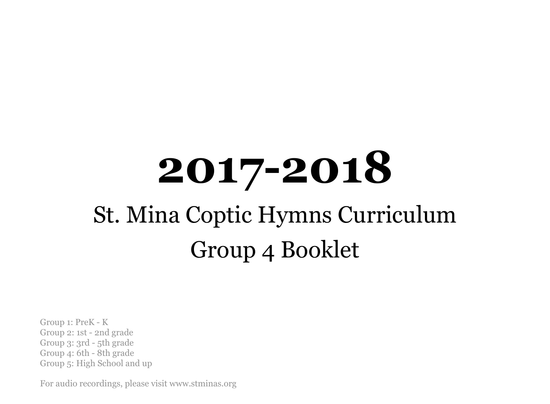# **2017-2018** St. Mina Coptic Hymns Curriculum Group 4 Booklet

Group 1: PreK - K Group 2: 1st - 2nd grade Group 3: 3rd - 5th grade Group 4: 6th - 8th grade Group 5: High School and up

For audio recordings, please visit www.stminas.org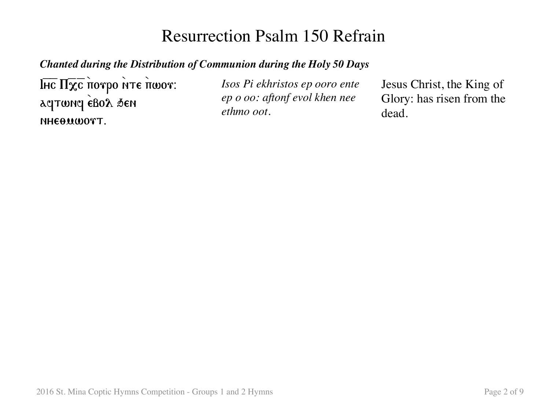### Resurrection Psalm 150 Refrain

#### *Chanted during the Distribution of Communion during the Holy 50 Days*

 $\overline{\text{IHC}}$  Π $\overline{\chi}$ <sub>σ</sub> ποτρο *ήτε πωοτ*: aqtwnq eBoa sen NHEOMWOTT.

*Isos Pi ekhristos ep ooro ente ep o oo: aftonf evol khen nee ethmo oot.*

Jesus Christ, the King of Glory: has risen from the dead.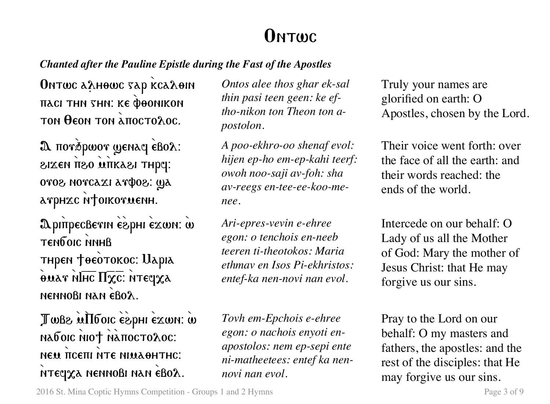### **ONTWC**

### *Chanted after the Pauline Epistle during the Fast of the Apostles*

Ontwc аяно с тар ксая оп *HACI THN SHN: KE POONIKON*  $\tau$ on θεοη τοη  $\lambda$ πος το $\lambda$ ος.

 $\mathbf{\Omega}$  ποτέρωστ ψεηλη εβολ: zika ng antasa thpe: oros norcaxi arфos: ya arphec N†oikorwenh.

ApinpecBevin espHI exwn: w TENDOIC NNHB тнрем †оеотокос: Uapia  $\overline{\text{max}}$   $\overline{\text{min}}$   $\overline{\text{max}}$ :  $\overline{\text{max}}$ nennobi nan 8ebol.

Twb2 uII6 oic espHI exwn: w naboic niot natioctoloc: NEM TICETH NTE NIMAOHTHC. нтеста неннові нан євод.

*Ontos alee thos ghar ek-sal thin pasi teen geen: ke eftho-nikon ton Theon ton apostolon.*

*A poo-ekhro-oo shenaf evol: hijen ep-ho em-ep-kahi teerf: owoh noo-saji av-foh: sha av-reegs en-tee-ee-koo-menee.*

*Ari-epres-vevin e-ehree egon: o tenchois en-neeb teeren ti-theotokos: Maria ethmav en Isos Pi-ekhristos: entef-ka nen-novi nan evol.*

*Tovh em-Epchois e-ehree egon: o nachois enyoti enapostolos: nem ep-sepi ente ni-matheetees: entef ka nennovi nan evol.*

Truly your names are glorified on earth: O Apostles, chosen by the Lord.

Their voice went forth: over the face of all the earth: and their words reached: the ends of the world.

Intercede on our behalf: O Lady of us all the Mother of God: Mary the mother of Jesus Christ: that He may forgive us our sins.

Pray to the Lord on our behalf: O my masters and fathers, the apostles: and the rest of the disciples: that He may forgive us our sins.

2016 St. Mina Coptic Hymns Competition - Groups 1 and 2 Hymns Page 3 of 9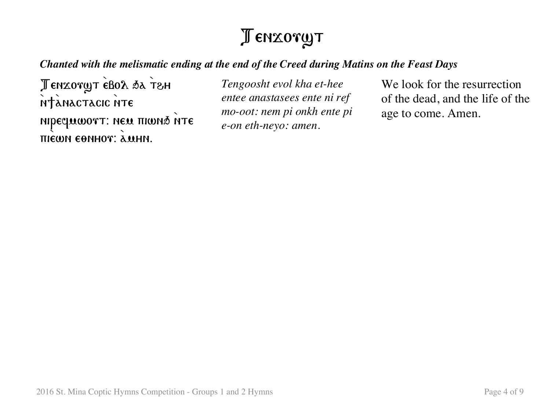# Tenxoryt

#### *Chanted with the melismatic ending at the end of the Creed during Matins on the Feast Days*

Tenzoryt ebol sa T&H ntànactacic nte nipequωorτ: neu πιωηδ ήτε **ПІЄШН ЄӨННОТ: А.М.НН.** 

*Tengoosht evol kha et-hee entee anastasees ente ni ref mo-oot: nem pi onkh ente pi e-on eth-neyo: amen.*

We look for the resurrection of the dead, and the life of the age to come. Amen.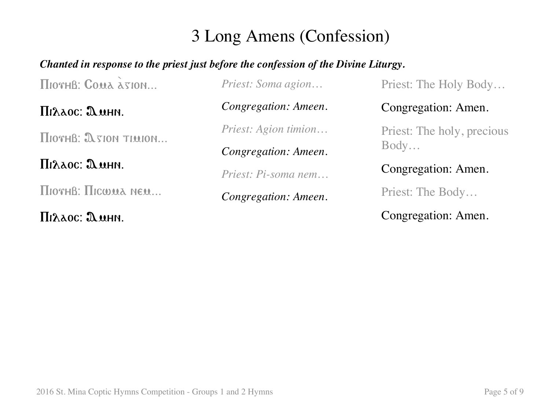### 3 Long Amens (Confession)

### *Chanted in response to the priest just before the confession of the Divine Liturgy.*

 $\Pi$ Ioth $\beta$ : Coma  $\lambda$ sion...

Pilaos@ Amhn.

 $\Pi$ <sub>10 $x$ H $B$ :  $\Omega$   $x$ <sub>100</sub> $x$   $T$ <sub>1</sub> $y$ <sub>100</sub> $y$ <sub> $\ldots$ </sub></sub>

Pilaos@ Amhn.

 $\Pi$ <sub>10 $x$ H $B:$  $\Pi$ <sub>10 $y$ </sub> $\lambda$  nem...</sub>

Pilaos@ Amhn.

*Priest: Soma agion…*

*Congregation: Ameen.*

*Priest: Agion timion…*

*Congregation: Ameen.*

*Priest: Pi-soma nem…*

*Congregation: Ameen.*

Priest: The Holy Body…

Congregation: Amen.

Priest: The holy, precious Body…

Congregation: Amen.

Priest: The Body…

Congregation: Amen.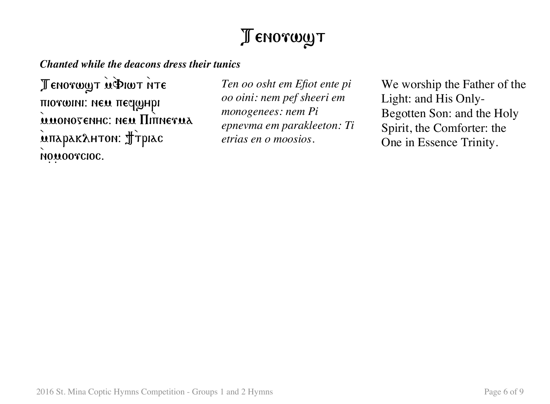# Tenorwyt

*Chanted while the deacons dress their tunics*

Tenorwyt u PIWT NTE πιονωινι: new πεσαμμρι MUONOTENHC: NEU HITTNETUA inapakahton: Jipiac NOMOOTCIOC.

*Ten oo osht em Efiot ente pi oo oini: nem pef sheeri em monogenees: nem Pi epnevma em parakleeton: Ti etrias en o moosios.*

We worship the Father of the Light: and His Only-Begotten Son: and the Holy Spirit, the Comforter: the One in Essence Trinity.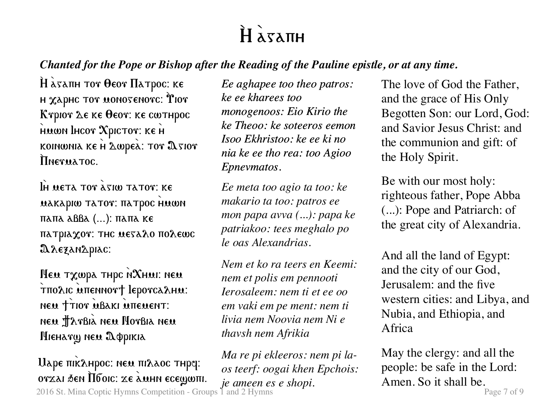# $H \lambda x \lambda \pi H$

### *Chanted for the Pope or Bishop after the Reading of the Pauline epistle, or at any time.*

 $\hat{H}$   $\hat{\alpha}$ sanh tor  $\theta$ eor  $\Pi$ atpoc: ke н  $\chi$ арнс тот монотенотс:  $\mathbf{\hat{r}}$ ют Kγριον Δε κε θεον: κε cωτηρος HUWN IHCOT XPICTOT: KE H koinwnia ke  $H$   $\Delta$ wpea:  $\texttt{Tor}$   $\Delta$ sior Therua Toc.

IH META TOT  $\lambda$  sim tator: Ke **MAKAPIW TATOT: HATPOC HMWN**  $παπα$   $αββα$  (...):  $παπα$  ke  $\pi$ атріа $\chi$ от: тнс меза $\chi$ о по $\chi$ еωс A rezanapiac:

 $M$ ем т $\chi$ шра тнрс N $\chi$ нмі: нем τπολις απεΝΝοντ lepoνς λημ. NEW TTIOT MBAKI MITEMENT: neu Harbià neu Horbia neu Hieharg neu Appikia

2016 St. Mina Coptic Hymns Competition - Groups 1 and 2 Hymns **Page 7** of 9  $U$ аре пік $\lambda$ нрос: нем пі $\lambda$ аос тнр $q$ : ovzai đen Ilбoic: ze amhn ecewwm.

*Ee aghapee too theo patros: ke ee kharees too monogenoos: Eio Kirio the ke Theoo: ke soteeros eemon Isoo Ekhristoo: ke ee ki no nia ke ee tho rea: too Agioo Epnevmatos.*

*Ee meta too agio ta too: ke makario ta too: patros ee mon papa avva (...): papa ke patriakoo: tees meghalo po le oas Alexandrias.*

*Nem et ko ra teers en Keemi: nem et polis em pennooti Ierosaleem: nem ti et ee oo em vaki em pe ment: nem ti livia nem Noovia nem Ni e thavsh nem Afrikia*

*Ma re pi ekleeros: nem pi laos teerf: oogai khen Epchois: je ameen es e shopi.*

The love of God the Father, and the grace of His Only Begotten Son: our Lord, God: and Savior Jesus Christ: and the communion and gift: of the Holy Spirit.

Be with our most holy: righteous father, Pope Abba (...): Pope and Patriarch: of the great city of Alexandria.

And all the land of Egypt: and the city of our God, Jerusalem: and the five western cities: and Libya, and Nubia, and Ethiopia, and Africa

May the clergy: and all the people: be safe in the Lord: Amen. So it shall be.<br> $_{\text{Page 7 of 9}}$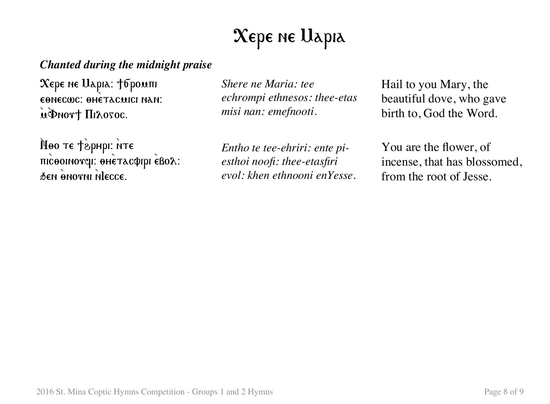# $\chi_{\rm epe}$  ne Uapia

### *Chanted during the midnight praise*

 $\boldsymbol{\mathrm{X}}$ ере не Царіа: †бромпі EONECWC: OHETACWICI NAN: independent III A050C.

Noo te téphpi: NTE micoomovel: oheracoppi eBox: den onorni niecce.

*Shere ne Maria: tee echrompi ethnesos: thee-etas misi nan: emefnooti.*

*Entho te tee-ehriri: ente piesthoi noofi: thee-etasfiri evol: khen ethnooni enYesse.* Hail to you Mary, the beautiful dove, who gave birth to, God the Word.

You are the flower, of incense, that has blossomed, from the root of Jesse.